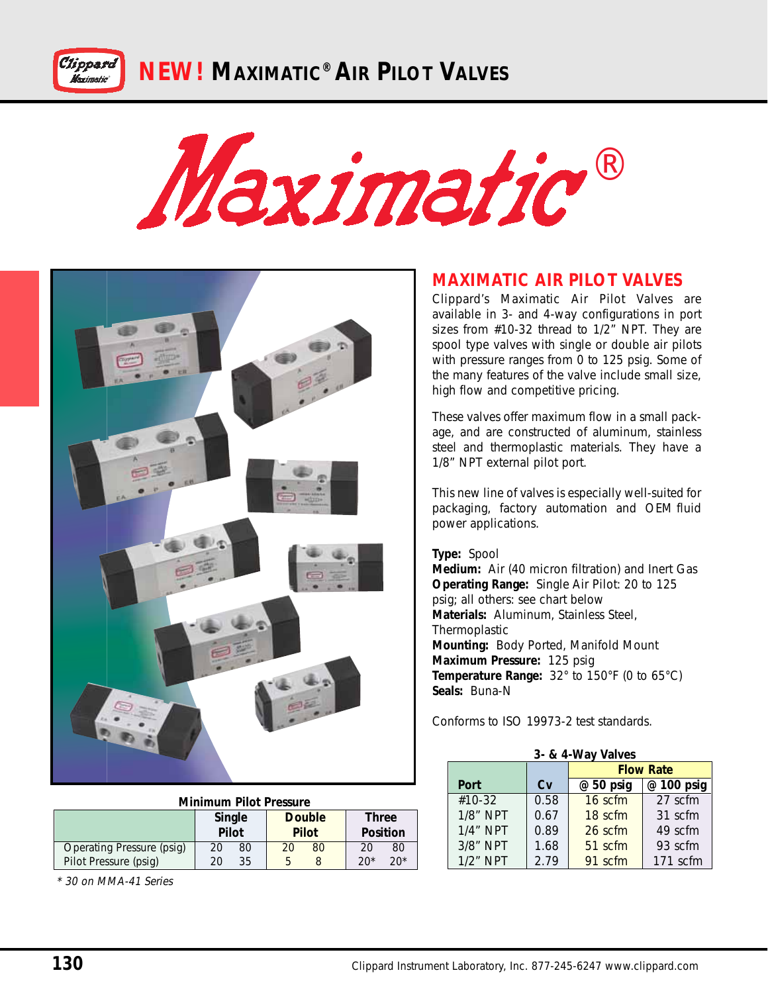**NEW! MAXIMATIC® AIR PILOT VALVES**





### **Minimum Pilot Pressure**

|                           | Single<br>Pilot |    | <b>Double</b><br><b>Pilot</b> |    | <b>Three</b><br>Position |       |
|---------------------------|-----------------|----|-------------------------------|----|--------------------------|-------|
| Operating Pressure (psig) | 20              | 80 | 20                            | 80 | 20                       | 80    |
| Pilot Pressure (psig)     | 20              | 35 |                               |    | $20*$                    | $20*$ |

\* 30 on MMA-41 Series

### **MAXIMATIC AIR PILOT VALVES**

Clippard's Maximatic Air Pilot Valves are available in 3- and 4-way configurations in port sizes from #10-32 thread to 1/2" NPT. They are spool type valves with single or double air pilots with pressure ranges from 0 to 125 psig. Some of the many features of the valve include small size, high flow and competitive pricing.

These valves offer maximum flow in a small package, and are constructed of aluminum, stainless steel and thermoplastic materials. They have a 1/8" NPT external pilot port.

This new line of valves is especially well-suited for packaging, factory automation and OEM fluid power applications.

#### **Type:** Spool

**Medium:** Air (40 micron filtration) and Inert Gas **Operating Range:** Single Air Pilot: 20 to 125 psig; all others: see chart below **Materials:** Aluminum, Stainless Steel, **Thermoplastic Mounting:** Body Ported, Manifold Mount **Maximum Pressure:** 125 psig **Temperature Range:** 32° to 150°F (0 to 65°C) **Seals:** Buna-N

Conforms to ISO 19973-2 test standards.

| 3- & 4-Way Valves |      |                         |          |  |  |  |  |  |  |
|-------------------|------|-------------------------|----------|--|--|--|--|--|--|
|                   |      | <b>Flow Rate</b>        |          |  |  |  |  |  |  |
| Port              | Cv   | @ 100 psig<br>@ 50 psig |          |  |  |  |  |  |  |
| #10-32            | 0.58 | 16 scfm                 | 27 scfm  |  |  |  |  |  |  |
| 1/8" NPT          | 0.67 | 18 scfm                 | 31 scfm  |  |  |  |  |  |  |
| $1/4$ " NPT       | 0.89 | 26 scfm                 | 49 scfm  |  |  |  |  |  |  |
| 3/8" NPT          | 1.68 | 51 scfm                 | 93 scfm  |  |  |  |  |  |  |
| $1/2$ " NPT       | 2.79 | 91 scfm                 | 171 scfm |  |  |  |  |  |  |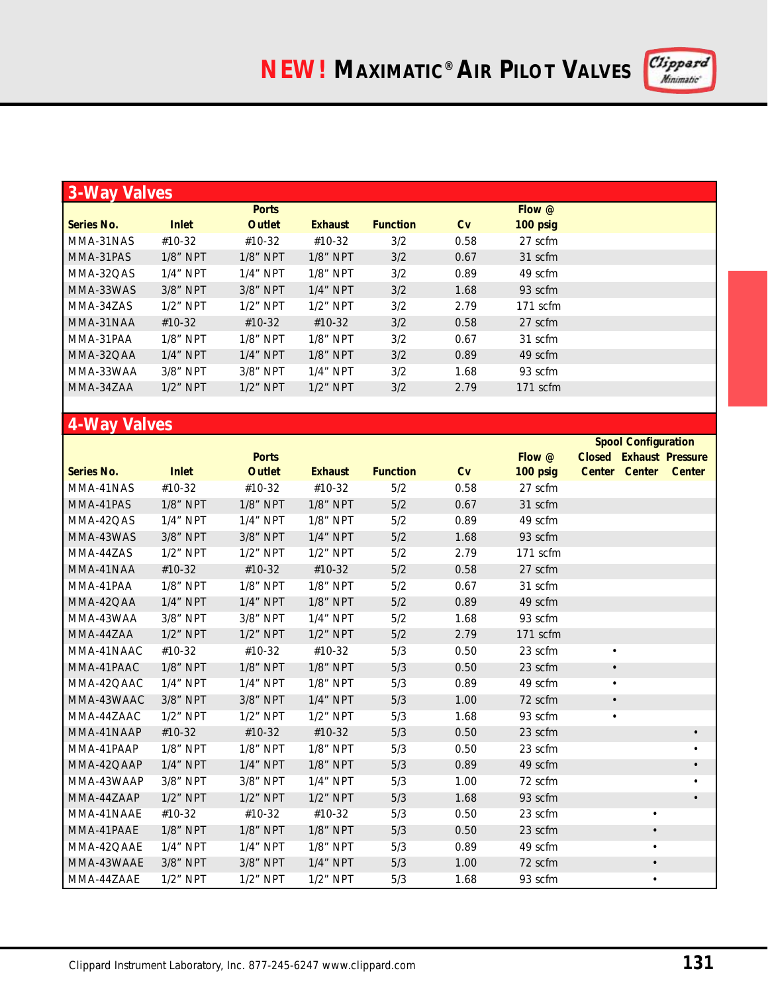

|            | <b>3-Way Valves</b> |               |                |                 |      |          |  |  |  |  |
|------------|---------------------|---------------|----------------|-----------------|------|----------|--|--|--|--|
|            |                     | <b>Ports</b>  |                |                 |      | Flow @   |  |  |  |  |
| Series No. | <b>Inlet</b>        | <b>Outlet</b> | <b>Exhaust</b> | <b>Function</b> | Cv   | 100 psig |  |  |  |  |
| MMA-31NAS  | #10-32              | #10-32        | #10-32         | 3/2             | 0.58 | 27 scfm  |  |  |  |  |
| MMA-31PAS  | $1/8$ " NPT         | $1/8$ " NPT   | $1/8$ " NPT    | 3/2             | 0.67 | 31 scfm  |  |  |  |  |
| MMA-32OAS  | $1/4$ " NPT         | $1/4$ " NPT   | $1/8$ " NPT    | 3/2             | 0.89 | 49 scfm  |  |  |  |  |
| MMA-33WAS  | 3/8" NPT            | 3/8" NPT      | $1/4$ " NPT    | 3/2             | 1.68 | 93 scfm  |  |  |  |  |
| MMA-34ZAS  | $1/2$ " NPT         | $1/2$ " NPT   | $1/2$ " NPT    | 3/2             | 2.79 | 171 scfm |  |  |  |  |
| MMA-31NAA  | $#10-32$            | $#10-32$      | #10-32         | 3/2             | 0.58 | 27 scfm  |  |  |  |  |
| MMA-31PAA  | $1/8$ " NPT         | $1/8$ " NPT   | $1/8$ " NPT    | 3/2             | 0.67 | 31 scfm  |  |  |  |  |
| MMA-32OAA  | $1/4$ " NPT         | $1/4$ " NPT   | $1/8$ " NPT    | 3/2             | 0.89 | 49 scfm  |  |  |  |  |
| MMA-33WAA  | $3/8"$ NPT          | $3/8"$ NPT    | $1/4$ " NPT    | 3/2             | 1.68 | 93 scfm  |  |  |  |  |
| MMA-34ZAA  | $1/2$ " NPT         | $1/2$ " NPT   | $1/2$ " NPT    | 3/2             | 2.79 | 171 scfm |  |  |  |  |
|            |                     |               |                |                 |      |          |  |  |  |  |

## **4-Way Valves**

|                   |              |              |                |                 |      |          | <b>Spool Configuration</b> |                      |                                |
|-------------------|--------------|--------------|----------------|-----------------|------|----------|----------------------------|----------------------|--------------------------------|
|                   |              | <b>Ports</b> |                |                 |      | Flow @   |                            |                      | <b>Closed Exhaust Pressure</b> |
| <b>Series No.</b> | <b>Inlet</b> | Outlet       | <b>Exhaust</b> | <b>Function</b> | Cv   | 100 psig |                            | Center Center Center |                                |
| MMA-41NAS         | #10-32       | #10-32       | #10-32         | 5/2             | 0.58 | 27 scfm  |                            |                      |                                |
| MMA-41PAS         | 1/8" NPT     | 1/8" NPT     | 1/8" NPT       | 5/2             | 0.67 | 31 scfm  |                            |                      |                                |
| MMA-42QAS         | $1/4$ " NPT  | $1/4$ " NPT  | $1/8$ " NPT    | 5/2             | 0.89 | 49 scfm  |                            |                      |                                |
| MMA-43WAS         | 3/8" NPT     | 3/8" NPT     | $1/4$ " NPT    | 5/2             | 1.68 | 93 scfm  |                            |                      |                                |
| MMA-44ZAS         | $1/2$ " NPT  | 1/2" NPT     | 1/2" NPT       | 5/2             | 2.79 | 171 scfm |                            |                      |                                |
| MMA-41NAA         | #10-32       | #10-32       | $#10-32$       | 5/2             | 0.58 | 27 scfm  |                            |                      |                                |
| MMA-41PAA         | 1/8" NPT     | 1/8" NPT     | $1/8$ " NPT    | 5/2             | 0.67 | 31 scfm  |                            |                      |                                |
| MMA-42QAA         | $1/4$ " NPT  | $1/4$ " NPT  | 1/8" NPT       | 5/2             | 0.89 | 49 scfm  |                            |                      |                                |
| MMA-43WAA         | 3/8" NPT     | 3/8" NPT     | $1/4$ " NPT    | 5/2             | 1.68 | 93 scfm  |                            |                      |                                |
| MMA-44ZAA         | $1/2$ " NPT  | $1/2$ " NPT  | $1/2$ " NPT    | 5/2             | 2.79 | 171 scfm |                            |                      |                                |
| MMA-41NAAC        | #10-32       | #10-32       | #10-32         | 5/3             | 0.50 | 23 scfm  | $\bullet$                  |                      |                                |
| MMA-41PAAC        | 1/8" NPT     | 1/8" NPT     | 1/8" NPT       | 5/3             | 0.50 | 23 scfm  | $\bullet$                  |                      |                                |
| MMA-42QAAC        | $1/4$ " NPT  | $1/4$ " NPT  | $1/8$ " NPT    | 5/3             | 0.89 | 49 scfm  | $\bullet$                  |                      |                                |
| MMA-43WAAC        | 3/8" NPT     | 3/8" NPT     | 1/4" NPT       | 5/3             | 1.00 | 72 scfm  | $\bullet$                  |                      |                                |
| MMA-44ZAAC        | $1/2$ " NPT  | 1/2" NPT     | $1/2$ " NPT    | 5/3             | 1.68 | 93 scfm  | $\bullet$                  |                      |                                |
| MMA-41NAAP        | #10-32       | #10-32       | #10-32         | 5/3             | 0.50 | 23 scfm  |                            |                      |                                |
| MMA-41PAAP        | 1/8" NPT     | 1/8" NPT     | 1/8" NPT       | 5/3             | 0.50 | 23 scfm  |                            |                      | $\bullet$                      |
| MMA-42QAAP        | $1/4$ " NPT  | $1/4$ " NPT  | $1/8$ " NPT    | 5/3             | 0.89 | 49 scfm  |                            |                      | $\bullet$                      |
| MMA-43WAAP        | 3/8" NPT     | 3/8" NPT     | 1/4" NPT       | 5/3             | 1.00 | 72 scfm  |                            |                      |                                |
| MMA-44ZAAP        | $1/2$ " NPT  | $1/2$ " NPT  | 1/2" NPT       | 5/3             | 1.68 | 93 scfm  |                            |                      | $\bullet$                      |
| MMA-41NAAE        | #10-32       | #10-32       | #10-32         | 5/3             | 0.50 | 23 scfm  |                            | $\bullet$            |                                |
| MMA-41PAAE        | 1/8" NPT     | 1/8" NPT     | 1/8" NPT       | 5/3             | 0.50 | 23 scfm  |                            | $\bullet$            |                                |
| MMA-42QAAE        | $1/4$ " NPT  | $1/4$ " NPT  | $1/8$ " NPT    | 5/3             | 0.89 | 49 scfm  |                            | $\bullet$            |                                |
| MMA-43WAAE        | 3/8" NPT     | 3/8" NPT     | 1/4" NPT       | 5/3             | 1.00 | 72 scfm  |                            | $\bullet$            |                                |
| MMA-44ZAAE        | 1/2" NPT     | 1/2" NPT     | $1/2$ " NPT    | 5/3             | 1.68 | 93 scfm  |                            | $\bullet$            |                                |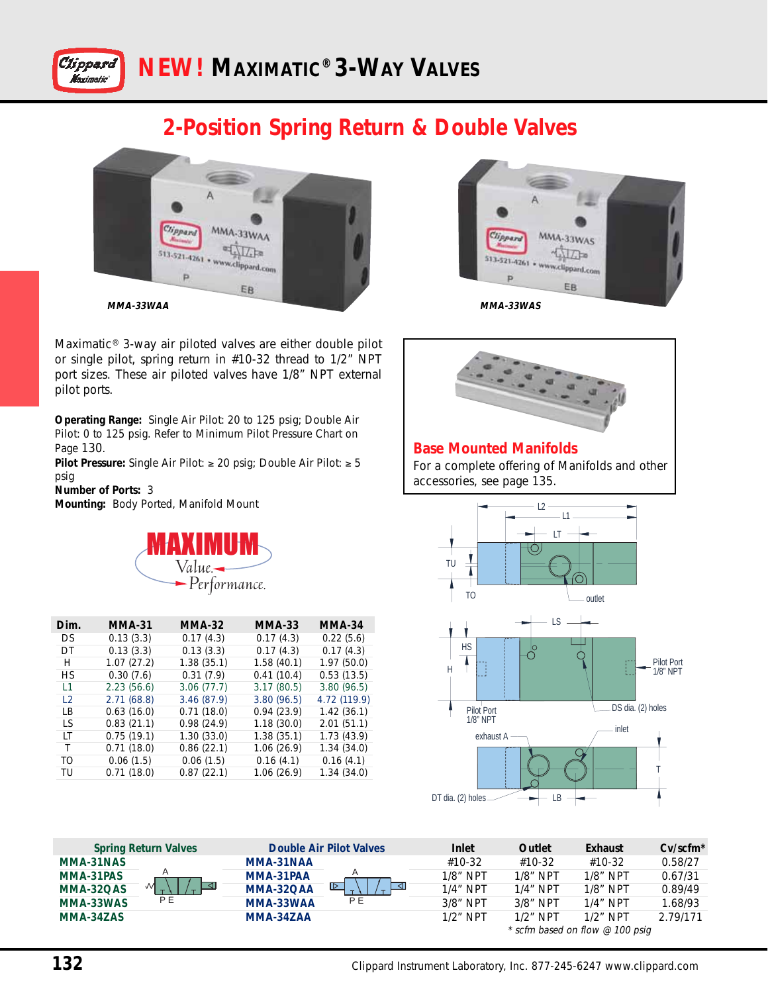

## **2-Position Spring Return & Double Valves**



Maximatic® 3-way air piloted valves are either double pilot or single pilot, spring return in #10-32 thread to 1/2" NPT port sizes. These air piloted valves have 1/8" NPT external pilot ports.

**Operating Range:** Single Air Pilot: 20 to 125 psig; Double Air Pilot: 0 to 125 psig. Refer to Minimum Pilot Pressure Chart on Page 130.

**Pilot Pressure:** Single Air Pilot: ≥ 20 psig; Double Air Pilot: ≥ 5 psig

**Number of Ports:** 3 **Mounting:** Body Ported, Manifold Mount



| Dim.           | MMA-31     | <b>MMA-32</b> | <b>MMA-33</b> | <b>MMA-34</b> |
|----------------|------------|---------------|---------------|---------------|
| DS.            | 0.13(3.3)  | 0.17(4.3)     | 0.17(4.3)     | 0.22(5.6)     |
| DΤ             | 0.13(3.3)  | 0.13(3.3)     | 0.17(4.3)     | 0.17(4.3)     |
| Н              | 1.07(27.2) | 1.38(35.1)    | 1.58(40.1)    | 1.97(50.0)    |
| НS             | 0.30(7.6)  | 0.31(7.9)     | 0.41(10.4)    | 0.53(13.5)    |
| L1             | 2.23(56.6) | 3.06(77.7)    | 3.17(80.5)    | 3.80(96.5)    |
| $\overline{2}$ | 2.71(68.8) | 3.46(87.9)    | 3.80(96.5)    | 4.72 (119.9)  |
| I B            | 0.63(16.0) | 0.71(18.0)    | 0.94(23.9)    | 1.42(36.1)    |
| 1 S            | 0.83(21.1) | 0.98(24.9)    | 1.18(30.0)    | 2.01(51.1)    |
| LT             | 0.75(19.1) | 1.30(33.0)    | 1.38(35.1)    | 1.73(43.9)    |
| Τ              | 0.71(18.0) | 0.86(22.1)    | 1.06(26.9)    | 1.34(34.0)    |
| TΩ             | 0.06(1.5)  | 0.06(1.5)     | 0.16(4.1)     | 0.16(4.1)     |
| TU             | 0.71(18.0) | 0.87(22.1)    | 1.06(26.9)    | 1.34(34.0)    |
|                |            |               |               |               |





#### **Base Mounted Manifolds** For a complete offering of Manifolds and other accessories, see page 135.



| <b>Spring Return Valves</b> |           | <b>Double Air Pilot Valves</b> | Inlet       | Outlet      | Exhaust                         | $Cv/scfm*$ |
|-----------------------------|-----------|--------------------------------|-------------|-------------|---------------------------------|------------|
| MMA-31NAS                   | MMA-31NAA |                                | #10-32      | #10-32      | #10-32                          | 0.58/27    |
| MMA-31PAS                   | MMA-31PAA |                                | $1/8$ " NPT | $1/8$ " NPT | $1/8$ " NPT                     | 0.67/31    |
| м<br>MMA-32QAS              | MMA-32OAA | $\triangleright$               | $1/4$ " NPT | $1/4$ " NPT | $1/8$ " NPT                     | 0.89/49    |
| P E<br>MMA-33WAS            | MMA-33WAA | P E                            | $3/8$ " NPT | $3/8$ " NPT | $1/4$ " NPT                     | 1.68/93    |
| MMA-34ZAS                   | MMA-34ZAA |                                | $1/2$ " NPT | $1/2$ " NPT | $1/2$ " NPT                     | 2.79/171   |
|                             |           |                                |             |             | * scfm based on flow @ 100 psig |            |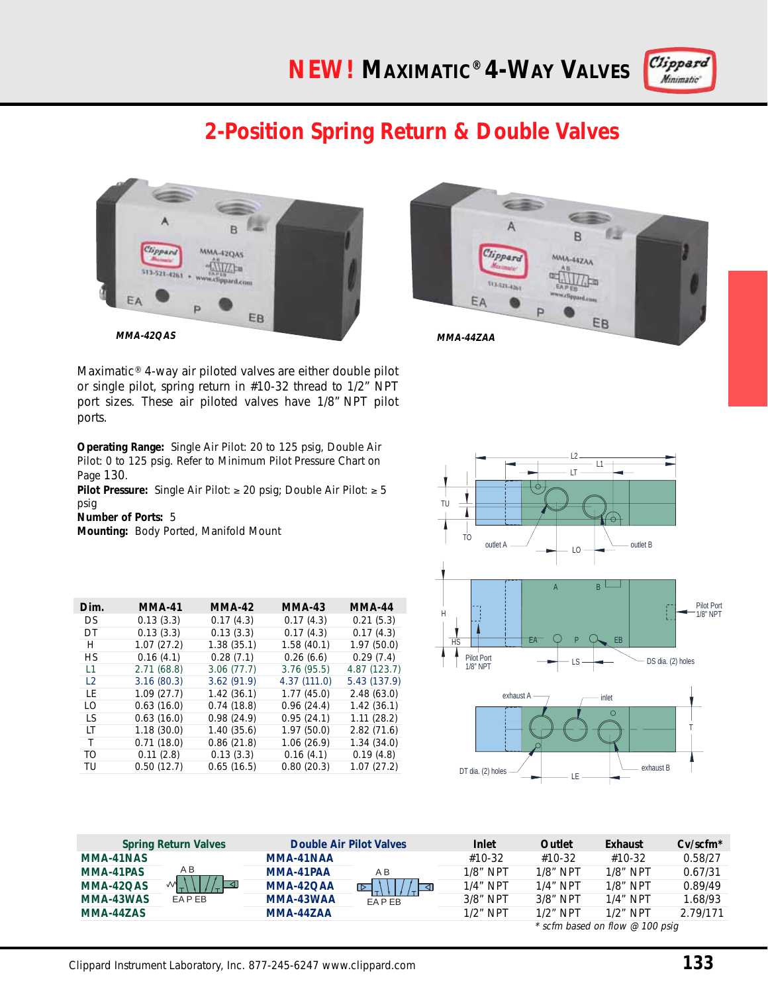# **NEW! MAXIMATIC® 4-WAY VALVES**



# **2-Position Spring Return & Double Valves**





Maximatic® 4-way air piloted valves are either double pilot or single pilot, spring return in #10-32 thread to 1/2" NPT port sizes. These air piloted valves have 1/8" NPT pilot ports.

**Operating Range:** Single Air Pilot: 20 to 125 psig, Double Air Pilot: 0 to 125 psig. Refer to Minimum Pilot Pressure Chart on Page 130.

**Pilot Pressure:** Single Air Pilot: ≥ 20 psig; Double Air Pilot: ≥ 5 psig

**Number of Ports:** 5

**Mounting:** Body Ported, Manifold Mount

| Dim.           | <b>MMA-41</b> | <b>MMA-42</b> | <b>MMA-43</b> | MMA-44       |
|----------------|---------------|---------------|---------------|--------------|
| DS             | 0.13(3.3)     | 0.17(4.3)     | 0.17(4.3)     | 0.21(5.3)    |
| DT             | 0.13(3.3)     | 0.13(3.3)     | 0.17(4.3)     | 0.17(4.3)    |
| Н              | 1.07(27.2)    | 1.38(35.1)    | 1.58(40.1)    | 1.97(50.0)   |
| НS             | 0.16(4.1)     | 0.28(7.1)     | 0.26(6.6)     | 0.29(7.4)    |
| L1             | 2.71(68.8)    | 3.06(77.7)    | 3.76(95.5)    | 4.87(123.7)  |
| $\overline{2}$ | 3.16(80.3)    | 3.62(91.9)    | 4.37(111.0)   | 5.43 (137.9) |
| ΙF             | 1.09(27.7)    | 1.42(36.1)    | 1.77(45.0)    | 2.48(63.0)   |
| ΙO             | 0.63(16.0)    | 0.74(18.8)    | 0.96(24.4)    | 1.42(36.1)   |
| LS             | 0.63(16.0)    | 0.98(24.9)    | 0.95(24.1)    | 1.11(28.2)   |
| ΙT             | 1.18(30.0)    | 1.40(35.6)    | 1.97(50.0)    | 2.82(71.6)   |
| T              | 0.71(18.0)    | 0.86(21.8)    | 1.06(26.9)    | 1.34(34.0)   |
| TO             | 0.11(2.8)     | 0.13(3.3)     | 0.16(4.1)     | 0.19(4.8)    |
| TU             | 0.50(12.7)    | 0.65(16.5)    | 0.80(20.3)    | 1.07(27.2)   |



| <b>Spring Return Valves</b> |                               | Double Air Pilot Valves |                          | Inlet       | Outlet      | Exhaust                                     | $Cv/scfm*$ |
|-----------------------------|-------------------------------|-------------------------|--------------------------|-------------|-------------|---------------------------------------------|------------|
| MMA-41NAS                   |                               | MMA-41NAA               | ΑB<br>ಗಾ<br><b>FAPFR</b> | #10-32      | #10-32      | $#10-32$                                    | 0.58/27    |
| MMA-41PAS                   | ΑB<br>$\mathbf{M}$<br>EA P EB | MMA-41PAA               |                          | $1/8$ " NPT | $1/8$ " NPT | $1/8$ " NPT                                 | 0.67/31    |
| MMA-42QAS                   |                               | MMA-42OAA               |                          | $1/4$ " NPT | $1/4$ " NPT | $1/8$ " NPT                                 | 0.89/49    |
| MMA-43WAS                   |                               | MMA-43WAA               |                          | $3/8$ " NPT | $3/8$ " NPT | $1/4$ " NPT                                 | 1.68/93    |
| MMA-44ZAS                   | <b>MMA-447AA</b>              |                         |                          | $1/2$ " NPT | $1/2$ " NPT | $1/2$ " NPT                                 | 2.79/171   |
|                             |                               |                         |                          |             |             | $*$ safes bossed and flaus $\odot$ 100 main |            |

scfm based on flow  $\varnothing$  100 psig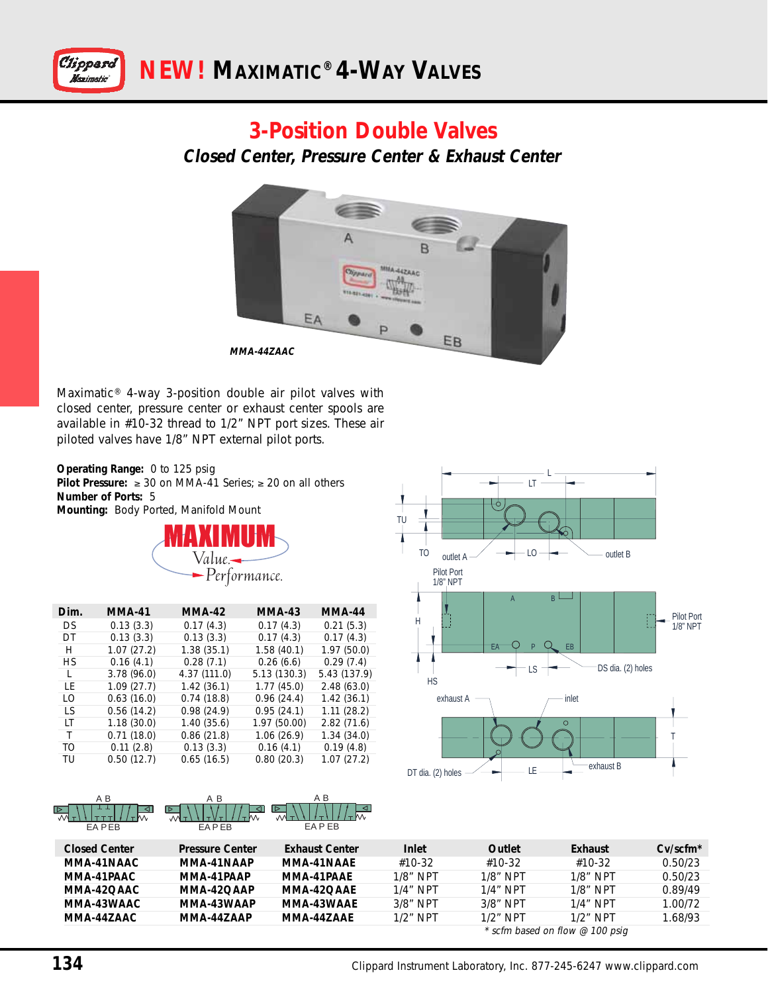

### **3-Position Double Valves**

**Closed Center, Pressure Center & Exhaust Center**



Maximatic® 4-way 3-position double air pilot valves with closed center, pressure center or exhaust center spools are available in #10-32 thread to 1/2" NPT port sizes. These air piloted valves have 1/8" NPT external pilot ports.

**Operating Range:** 0 to 125 psig **Pilot Pressure:** ≥ 30 on MMA-41 Series; ≥ 20 on all others **Number of Ports:** 5 **Mounting:** Body Ported, Manifold Mount



| Dim. | <b>MMA-41</b> | <b>MMA-42</b> | <b>MMA-43</b> | <b>MMA-44</b> |
|------|---------------|---------------|---------------|---------------|
| DS   | 0.13(3.3)     | 0.17(4.3)     | 0.17(4.3)     | 0.21(5.3)     |
| DΤ   | 0.13(3.3)     | 0.13(3.3)     | 0.17(4.3)     | 0.17(4.3)     |
| Н    | 1.07(27.2)    | 1.38(35.1)    | 1.58(40.1)    | 1.97(50.0)    |
| НS   | 0.16(4.1)     | 0.28(7.1)     | 0.26(6.6)     | 0.29(7.4)     |
| L    | 3.78(96.0)    | 4.37 (111.0)  | 5.13(130.3)   | 5.43 (137.9)  |
| ΙF   | 1.09(27.7)    | 1.42 (36.1)   | 1.77(45.0)    | 2.48(63.0)    |
| ΙO   | 0.63(16.0)    | 0.74(18.8)    | 0.96(24.4)    | 1.42(36.1)    |
| I S  | 0.56(14.2)    | 0.98(24.9)    | 0.95(24.1)    | 1.11(28.2)    |
| ΙT   | 1.18(30.0)    | 1.40 (35.6)   | 1.97 (50.00)  | 2.82(71.6)    |
| Τ    | 0.71(18.0)    | 0.86(21.8)    | 1.06(26.9)    | 1.34(34.0)    |
| TO.  | 0.11(2.8)     | 0.13(3.3)     | 0.16(4.1)     | 0.19(4.8)     |
| TU   | 0.50(12.7)    | 0.65(16.5)    | 0.80(20.3)    | 1.07(27.2)    |





| <b>Closed Center</b>              | <b>Pressure Center</b> | <b>Exhaust Center</b> | Inlet       | Outlet      | Exhaust     | $Cv/scfm*$ |
|-----------------------------------|------------------------|-----------------------|-------------|-------------|-------------|------------|
| MMA-41NAAC                        | MMA-41NAAP             | MMA-41NAAF            | #10-32      | #10-32      | #10-32      | 0.50/23    |
| MMA-41PAAC                        | MMA-41PAAP             | MMA-41PAAF            | $1/8$ " NPT | $1/8$ " NPT | $1/8$ " NPT | 0.50/23    |
| MMA-42OAAC                        | MMA-42OAAP             | MMA-42OAAF            | $1/4$ " NPT | $1/4$ " NPT | $1/8$ " NPT | 0.89/49    |
| MMA-43WAAC                        | MMA-43WAAP             | MMA-43WAAF            | $3/8$ " NPT | $3/8$ " NPT | $1/4$ " NPT | 1.00/72    |
| MMA-447AAC                        | MMA-447AAP             | MMA-447AAF            | $1/2$ " NPT | $1/2$ " NPT | $1/2$ " NPT | 1.68/93    |
| $*$ scfm based on flow @ 100 psig |                        |                       |             |             |             |            |